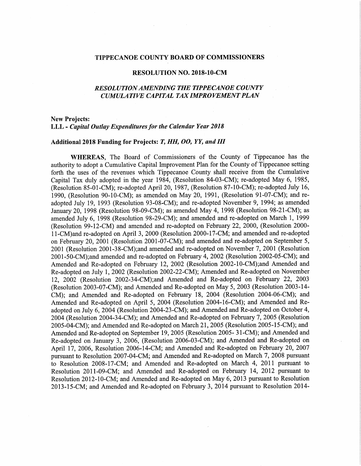#### TIPPECANOE COUNTY BOARD OF COMMISSIONERS

#### RESOLUTION NO. 2018-10-CM

## RESOLUTI0NAMENDING THE TIPPECANOE COUNTY CUMULATIVE CAPITAL TAX IMPROVEMENT PLAN

### **New Projects:** LLL - Capital Outlay Expenditures for the Calendar Year 2018

#### Additional 2018 Funding for Projects: T, HH, OO, YY, and III

WHEREAS, The Board of Commissioners of the County of Tippecanoe has the authority to adopt a Cumulative Capital Improvement Plan for the County of Tippecanoe setting forth the uses of the revenues which Tippecanoe County shall receive from the Cumulative Capital Tax duly adopted in the year 1984, (Resolution 84-03-CM); re-adopted May 6, 1985, (Resolution 85-01-CM); re-adopted April 20, 1987, (Resolution 87-10-CM); re-adopted July 16, 1990, (Resolution 90-10-CM); as amended on May 20, 1991, (Resolution 91-07-CM); and readopted July 19, <sup>1993</sup> (Resolution 93-08-CM); and re-adopted November 9, 1994; as amended January 20, 1998 (Resolution 98-09-CM); as amended May 4, 1998 (Resolution 98-21-CM); as amended July 6, 1998 (Resolution 98-29-CM); and amended and re-adopted on March 1, 1999 (Resolution 99-12-CM) and amended and re-adopted on February 22, 2000, (Resolution 2000-11-CM)and re-adopted on April 3, 2000 (Resolution 2000-17-CM; and amended and re-adopted on February 20, <sup>2001</sup> (Resolution 2001-07-CM); and amended and re-adopted on September 5, <sup>2001</sup> (Resolution 2001-38-CM);and amended and re-adopted on November 7, <sup>2001</sup> (Resolution 2001-50-CM);and amended and re~adopted on February 4, <sup>2002</sup> (Resolution 2002-05—CM); and Amended and Re-adopted on February 12,<sup>2002</sup> (Resolution 2002-10-CM);and Amended and Re-adopted on July 1, 2002 (Resolution 2002-22-CM); Amended and Re-adopted on November 12, 2002 (Resolution 2002-34-CM);and Amended and Re-adopted on February 22, 2003 (Resolution 2003-07-CM); and Amended and Re-adopted on May 5, 2003 (Resolution 2003-14-CM); and Amended and Re-adopted on February 18,<sup>2004</sup> (Resolution 2004—06-CM); and Amended and Re-adopted on April 5, <sup>2004</sup> (Resolution 2004-16-CM); and Amended and Readopted on July 6, <sup>2004</sup> (Resolution 2004-23—CM); and Amended and Re-adopted on October 4, <sup>2004</sup> (Resolution 2004-34~CM); and Amended and Re-adopted on February 7, <sup>2005</sup> (Resolution 2005-04-CM); and Amended and Re-adopted on March 21, 2005 (Resolution 2005-15-CM); and Amended and Re-adopted on September 19, 2005 (Resolution 2005-31-CM); and Amended and Re-adopted on January 3, 2006, (Resolution 2006-03-CM); and Amended and Re-adopted on April 17, 2006, Resolution 2006—14—CM; and Amended and Re-adopted on February 20, <sup>2007</sup> pursuant to Resolution 2007-04—CM; and Amended and Re-adopted on March 7, <sup>2008</sup> pursuant to Resolution 2008-17-CM; and Amended and Re-adopted on March 4, 2011 pursuant to Resolution 2011-09~CM; and Amended and Re-adopted on February 14, 2012 pursuant to Resolution 2012-10~CM; and Amended and Re~adopted on May 6, 2013 pursuant to Resolution 2013-15-CM; and Amended and Re-adopted on February 3, 2014 pursuant to Resolution 2014-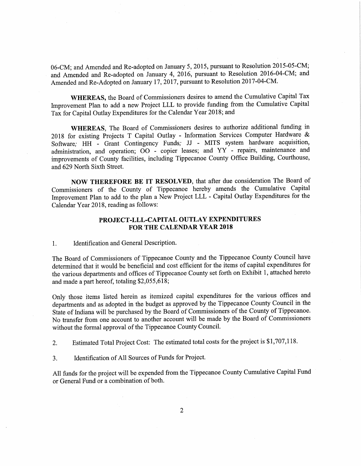06-CM; and Amended and Re-adopted on January 5, 2015, pursuant to Resolution 2015-05-CM; and Amended and Re-adopted on January 4, 2016, pursuant to Resolution 2016-04-CM; and Amended and Re-Adopted on January 17, 2017, pursuant to Resolution 2017-04-CM.

WHEREAS, the Board of Commissioners desires to amend the Cumulative Capital Tax Improvement Plan to add <sup>a</sup> new Project LLL to provide funding from the Cumulative Capital Tax for Capital Outlay Expenditures for the Calendar Year 2018; and

WHEREAS, The Board of Commissioners desires to authorize additional funding in <sup>2018</sup> for existing Projects <sup>T</sup> Capital Outlay - Information Services Computer Hardware & Software; HH - Grant Contingency Funds; JJ - MITS system hardware acquisition, administration, and operation; <sup>00</sup> - copier leases; and YY - repairs, maintenance. and improvements of County facilities, including Tippecanoe County Office Building, Courthouse, and 629 North Sixth Street.

NOW THEREFORE BE 'IT RESOLVED, that after due consideration The Board of Commissioners of the County of Tippecanoe hereby amends the Cumulative Capital Improvement Plan to add to the plan <sup>a</sup> New Project LLL - Capital Outlay Expenditures for the Calendar Year 2018, reading as follows:

## PROJECT-LLL-CAPITAL OUTLAY EXPENDITURES FOR THE CALENDAR YEAR 2018

1. Identification and General Description.

The Board of Commissioners of Tippecanoe County and the Tippecanoe County Council have determined that it would be beneficial and cost efficient for the items of capital expenditures for the various departments and offices of Tippecanoe County set forth on Exhibit 1, attached hereto and made <sup>a</sup> part hereof, totaling \$2,055,618;

Only those items listed herein as itemized capital expenditures for the various offices and departments and as adopted in the budget as approved by the Tippecanoe County Council in the State of Indiana will be purchased by the Board of Commissioners of the County of Tippecanoe. No transfer from one account to another account will be made by the Board of Commissioners without the formal approva<sup>l</sup> of the Tippecanoe County Council.

2. Estimated Total Project Cost: The estimated total costs for the project is \$1,707,118.

3. Identification ofAll Sources of Funds for Project.

All funds for the project will be expended from the Tippecanoe County Cumulative Capital Fund ' or General Fund or <sup>a</sup> combination of both.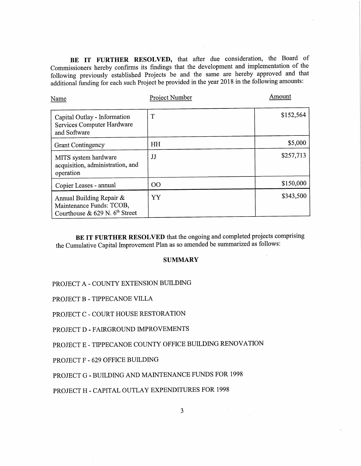BE IT FURTHER RESOLVED, that after due consideration, the Board of Commissioners hereby confirms its findings that the development and implementation of the following previously established Projects be and the same are hereby approved and that additional funding for each such Project be provided in the year <sup>2018</sup> in the following amounts:

| Name                                                                                     | Project Number | Amount    |  |
|------------------------------------------------------------------------------------------|----------------|-----------|--|
| Capital Outlay - Information<br>Services Computer Hardware<br>and Software               | T              | \$152,564 |  |
| <b>Grant Contingency</b>                                                                 | HH             | \$5,000   |  |
| MITS system hardware<br>acquisition, administration, and<br>operation                    | JJ             | \$257,713 |  |
| Copier Leases - annual                                                                   | $00\,$         | \$150,000 |  |
| Annual Building Repair &<br>Maintenance Funds: TCOB,<br>Courthouse & 629 N. $6th$ Street | YY             | \$343,500 |  |

BE IT FURTHER RESOLVED that the ongoing and completed projects comprising the Cumulative Capital Improvement Plan as so amended be summarized as follows:

### **SUMMARY**

# PROJECT A - COUNTY EXTENSION BUILDING

PROJECT B - TIPPECANOE VILLA

PROJECT C — COURT HOUSE RESTORATION

PROJECT D - FAIRGROUND IMPROVEMENTS

PROJECT <sup>E</sup> - TIPPECANOE COUNTY OFFICE BUILDING RENOVATION

PROJECT F - 629 OFFICE BUILDING

PROJECT G - BUILDING AND MAINTENANCE FUNDS FOR 1998

PROJECT H - CAPITAL OUTLAY EXPENDITURES FOR 1998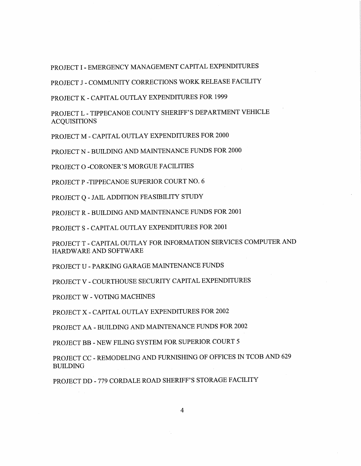PROJECT I - EMERGENCY MANAGEMENT CAPITAL EXPENDITURES

PROJECT <sup>J</sup>- COMMUNITY CORRECTIONS WORK RELEASE FACILITY

PROJECT K - CAPITAL OUTLAY EXPENDITURES FOR 1999

PROJECT L - TIPPECANOE COUNTY SHERIFF'S DEPARTMENT VEHICLE **ACQUISITIONS** 

PROJECT M - CAPITAL OUTLAY EXPENDITURES FOR 2000

PROJECT N - BUILDING AND MAINTENANCE FUNDS FOR 2000

PROJECT O -CORONER'S MORGUE FACILITIES

PROJECT P -TIPPECANOE SUPERIOR COURT NO. 6

PROJECT Q - JAIL ADDITION FEASIBILITY STUDY

PROJECT R - BUILDING AND MAINTENANCE FUNDS FOR 2001

PROJECT S - CAPITAL OUTLAY EXPENDITURES FOR 2001

PROJECT T - CAPITAL OUTLAY FOR INFORMATION SERVICES COMPUTER AND HARDWARE AND SOFTWARE

PROJECT U — PARKING GARAGE MAINTENANCE FUNDS

PROJECT V - COURTHOUSE SECURITY CAPITAL EXPENDITURES

PROJECT W - VOTING MACHINES

PROJECT X - CAPITAL OUTLAY EXPENDITURES FOR 2002

PROJECT AA - BUILDING AND MAINTENANCE FUNDS FOR 2002

PROJECT BB - NEW FILING SYSTEM FOR SUPERIOR COURT 5

PROJECT CC - REMODELING AND FURNISHING OF OFFICES IN TCOB AND 629 BUILDING

PROJECT DD - 779 CORDALE ROAD SHERIFF'S STORAGE FACILITY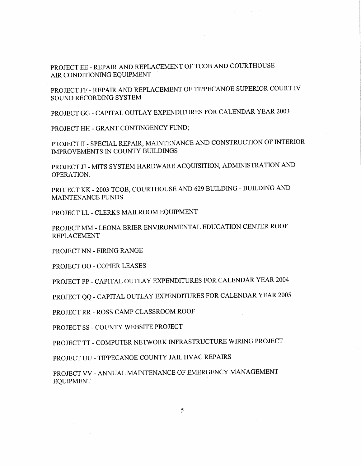PROJECT EE - REPAIR AND REPLACEMENT OF TCOB AND COURTHOUSE AIR CONDITIONING EQUIPMENT

PROJECT FF - REPAIR AND REPLACEMENT OF TIPPECANOE SUPERIOR COURT IV SOUND RECORDING SYSTEM

PROJECT GG - CAPITAL OUTLAY EXPENDITURES FOR CALENDAR YEAR <sup>2003</sup>

PROJECT HH - GRANT CONTINGENCY FUND;

PROJECT II - SPECIAL REPAIR, MAINTENANCE AND CONSTRUCTION OF INTERIOR IMPROVEMENTS IN COUNTY BUILDINGS

PROJECT JJ - MITS SYSTEM HARDWARE ACQUISITION, ADMINISTRATION AND OPERATION.

PROJECT KK <sup>2003</sup> TCOB, COURTHOUSE AND <sup>629</sup> BUILDING - BUILDING AND MAINTENANCE FUNDS

PROJECT LL - CLERKS MAILROOM EQUIPMENT

PROJECT MM - LEONA BRIER ENVIRONMENTAL EDUCATION CENTER ROOF REPLACEMENT

PROJECT NN - FIRING RANGE

PROJECT 00 - COPIER LEASES

PROJECT PP - CAPITAL OUTLAY EXPENDITURES FOR CALENDAR YEAR <sup>2004</sup>

PROJECT QQ - CAPITAL OUTLAY EXPENDITURES FOR CALENDAR YEAR <sup>2005</sup>

PROJECT RR - ROSS CAMP CLASSROOM ROOF

PROJECT SS - COUNTY WEBSITE PROJECT

PROJECT TT -COMPUTER NETWORK INFRASTRUCTURE WIRING PROJECT

PROJECT UU — TIPPECANOE COUNTY JAIL HVAC REPAIRS

PROJECT VV - ANNUAL MAINTENANCE OF EMERGENCY MANAGEMENT **EQUIPMENT**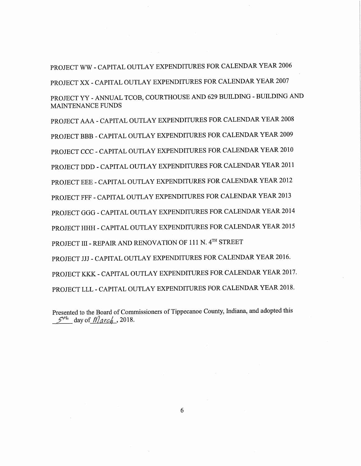PROJECT WW - CAPITAL OUTLAY EXPENDITURES FOR CALENDAR YEAR <sup>2006</sup> PROJECT XX - CAPITAL OUTLAY EXPENDITURES FOR CALENDAR YEAR 2007 PROJECT YY - ANNUAL TCOB, COURTHOUSE AND <sup>629</sup> BUILDING - BUILDING AND MAINTENANCE FUNDS

PROJECT AAA - CAPITAL OUTLAY EXPENDITURES FOR CALENDAR YEAR <sup>2008</sup> PROJECT BBB - CAPITAL OUTLAY EXPENDITURES FOR CALENDAR YEAR <sup>2009</sup> PROJECT CCC — CAPITAL OUTLAY EXPENDITURES FOR CALENDAR YEAR <sup>2010</sup> PROJECT DDD - CAPITAL OUTLAY EXPENDITURES FOR CALENDAR YEAR <sup>2011</sup> PROJECT EEE - CAPITAL OUTLAY EXPENDITURES FOR CALENDAR YEAR <sup>2012</sup> PROJECT FFF - CAPITAL OUTLAY EXPENDITURES FOR CALENDAR YEAR <sup>2013</sup> PROJECT GGG - CAPITAL OUTLAY EXPENDITURES FOR CALENDAR YEAR <sup>2014</sup> PROJECT HHH - CAPITAL OUTLAY EXPENDITURES FOR CALENDAR YEAR <sup>2015</sup> PROJECT III - REPAIR AND RENOVATION OF 111 N. 4TH STREET PROJECT JJJ - CAPITAL OUTLAY EXPENDITURES FOR CALENDAR YEAR 2016. PROJECT KKK — CAPITAL OUTLAY EXPENDITURES FOR CALENDAR YEAR 2017. PROJECT LLL - CAPITAL OUTLAY EXPENDITURES FOR CALENDAR YEAR 2018.

Presented to the Board of Commissioners of Tippecanoe County, Indiana, and adopted this  $57\%$  day of *Narch* . 2018.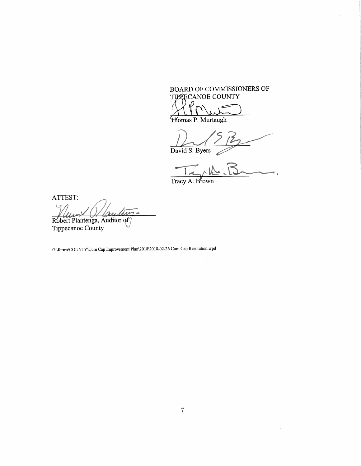BOARD OF COMMISSIONERS OF TIPPECANOE COUNTY  $\mathcal{H}^{\prime}$  $M_{\text{min}}$ 

E fiomas P. Murtaugh

.mm ... ,, Q,9%  $,$   $/5$ David S. Byers  $\mathscr{D}$ where the contract of  $\overline{H}$  and  $\overline{H}$  and  $\overline{H}$  and  $\overline{H}$  and  $\overline{H}$ . . . .

Tracy A. Brown <sup>w</sup> mmwwwwmwmwWWW 6

ATTEST:  $\left( \right)$ fig  $\mathcal{U} \setminus \mathcal{U}$  values of  $\mathcal{U}$ 'PRobert Plantenga, Auditor of

Tippecanoe County

G:\forms\COUNTY\Cum Cap Improvement Plan\2018\2018-02-26 Cum Cap Resolution.wpd